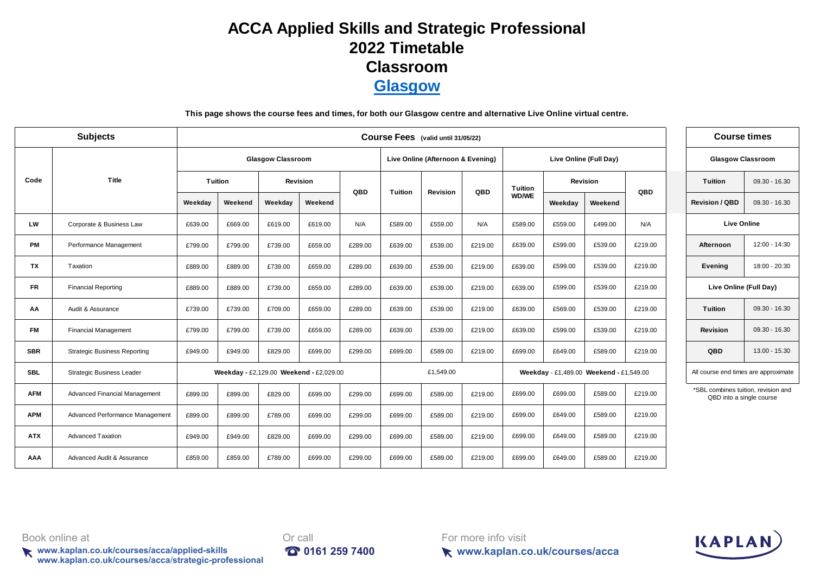## **[A](https://kaplan.co.uk/about/locations/GLASGOW)CCA Applied Skills and Strategic Professional 2022 Timetable [C](https://kaplan.co.uk/about/locations/GLASGOW)lassroom [G](https://kaplan.co.uk/about/locations/GLASGOW)lasgow**

**This page shows the course fees and times, for both our Glasgow centre and alternative Live Online virtual centre.**

|            | <b>Subjects</b>                     |         | Course Fees (valid until 31/05/22) |                          |                                         |         |                                   |                 |         |         |         |                                         |         | <b>Course times</b>                                             |                 |
|------------|-------------------------------------|---------|------------------------------------|--------------------------|-----------------------------------------|---------|-----------------------------------|-----------------|---------|---------|---------|-----------------------------------------|---------|-----------------------------------------------------------------|-----------------|
|            |                                     |         |                                    | <b>Glasgow Classroom</b> |                                         |         | Live Online (Afternoon & Evening) |                 |         |         |         | Live Online (Full Day)                  |         | <b>Glasgow Classroom</b>                                        |                 |
| Code       | Title                               |         | Tuition                            |                          | <b>Revision</b>                         | QBD     | <b>Tuition</b>                    | <b>Revision</b> | QBD     | Tuition |         | <b>Revision</b>                         | QBD     | <b>Tuition</b>                                                  | $09.30 - 16.30$ |
|            |                                     | Weekday | Weekend                            | Weekday                  | Weekend                                 |         |                                   |                 |         | WD/WE   | Weekday | Weekend                                 |         | <b>Revision / QBD</b>                                           | $09.30 - 16.30$ |
| LW         | Corporate & Business Law            | £639.00 | £669.00                            | £619.00                  | £619.00                                 | N/A     | £589.00                           | £559.00         | N/A     | £589.00 | £559.00 | £499.00                                 | N/A     | <b>Live Online</b>                                              |                 |
| <b>PM</b>  | Performance Management              | £799.00 | £799.00                            | £739.00                  | £659.00                                 | £289.00 | £639.00                           | £539.00         | £219.00 | £639.00 | £599.00 | £539.00                                 | £219.00 | Afternoon                                                       | 12:00 - 14:30   |
| TX         | Taxation                            | £889.00 | £889.00                            | £739.00                  | £659.00                                 | £289.00 | £639.00                           | £539.00         | £219.00 | £639.00 | £599.00 | £539.00                                 | £219.00 | Evening                                                         | 18:00 - 20:30   |
| <b>FR</b>  | <b>Financial Reporting</b>          | £889.00 | £889.00                            | £739.00                  | £659.00                                 | £289.00 | £639.00                           | £539.00         | £219.00 | £639.00 | £599.00 | £539.00                                 | £219.00 | Live Online (Full Day)                                          |                 |
| АΑ         | Audit & Assurance                   | £739.00 | £739.00                            | £709.00                  | £659.00                                 | £289.00 | £639.00                           | £539.00         | £219.00 | £639.00 | £569.00 | £539.00                                 | £219.00 | Tuition                                                         | $09.30 - 16.30$ |
| <b>FM</b>  | <b>Financial Management</b>         | £799.00 | £799.00                            | £739.00                  | £659.00                                 | £289.00 | £639.00                           | £539.00         | £219.00 | £639.00 | £599.00 | £539.00                                 | £219.00 | <b>Revision</b>                                                 | $09.30 - 16.30$ |
| <b>SBR</b> | <b>Strategic Business Reporting</b> | £949.00 | £949.00                            | £829.00                  | £699.00                                 | £299.00 | £699.00                           | £589.00         | £219.00 | £699.00 | £649.00 | £589.00                                 | £219.00 | QBD                                                             | $13.00 - 15.30$ |
| <b>SBL</b> | <b>Strategic Business Leader</b>    |         |                                    |                          | Weekday - £2,129.00 Weekend - £2,029.00 |         |                                   | £1,549.00       |         |         |         | Weekday - £1,489.00 Weekend - £1,549.00 |         | All course end times are approximate                            |                 |
| <b>AFM</b> | Advanced Financial Management       | £899.00 | £899.00                            | £829.00                  | £699.00                                 | £299.00 | £699.00                           | £589.00         | £219.00 | £699.00 | £699.00 | £589.00                                 | £219.00 | *SBL combines tuition, revision and<br>QBD into a single course |                 |
| <b>APM</b> | Advanced Performance Management     | £899.00 | £899.00                            | £789.00                  | £699.00                                 | £299.00 | £699.00                           | £589.00         | £219.00 | £699.00 | £649.00 | £589.00                                 | £219.00 |                                                                 |                 |
| <b>ATX</b> | <b>Advanced Taxation</b>            | £949.00 | £949.00                            | £829.00                  | £699.00                                 | £299.00 | £699.00                           | £589.00         | £219.00 | £699.00 | £649.00 | £589.00                                 | £219.00 |                                                                 |                 |
| AAA        | Advanced Audit & Assurance          | £859.00 | £859.00                            | £789.00                  | £699.00                                 | £299.00 | £699.00                           | £589.00         | £219.00 | £699.00 | £649.00 | £589.00                                 | £219.00 |                                                                 |                 |

Book online at **Druggers Book** online at **Or** call

**www.kaplan.co.uk/courses/acca/applied-skills 0161 259 7400 www.kaplan.co.uk/courses/acca**/**strategic-professional**



For more info visit



**www.kaplan.co.uk/courses/acca**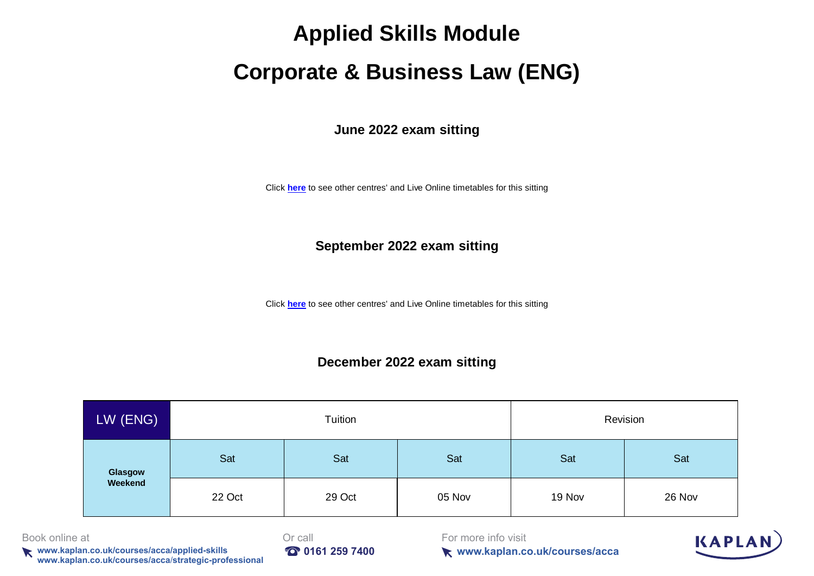# **Corporate & Business Law (ENG)**

**June 2022 exam sitting**

[Click](https://kaplan.co.uk/courses/timetables/acca) **here** to see other centres' and Live Online timetables for this sitting

#### **September 2022 exam sitting**

[Click](https://kaplan.co.uk/courses/timetables/acca) **here** to see other centres' and Live Online timetables for this sitting

#### **December 2022 exam sitting**

| LW (ENG) |        | Tuition |        |        | Revision |
|----------|--------|---------|--------|--------|----------|
| Glasgow  | Sat    | Sat     | Sat    | Sat    | Sat      |
| Weekend  | 22 Oct | 29 Oct  | 05 Nov | 19 Nov | 26 Nov   |

Book online at **Druggers Book** online at **Or** call

**www.kaplan.co.uk/courses/acca/applied-skills <b>100 161 259 7400 www.kaplan.co.uk/courses/acca**/**strategic-professional**



For more info visit



**www.kaplan.co.uk/courses/acca**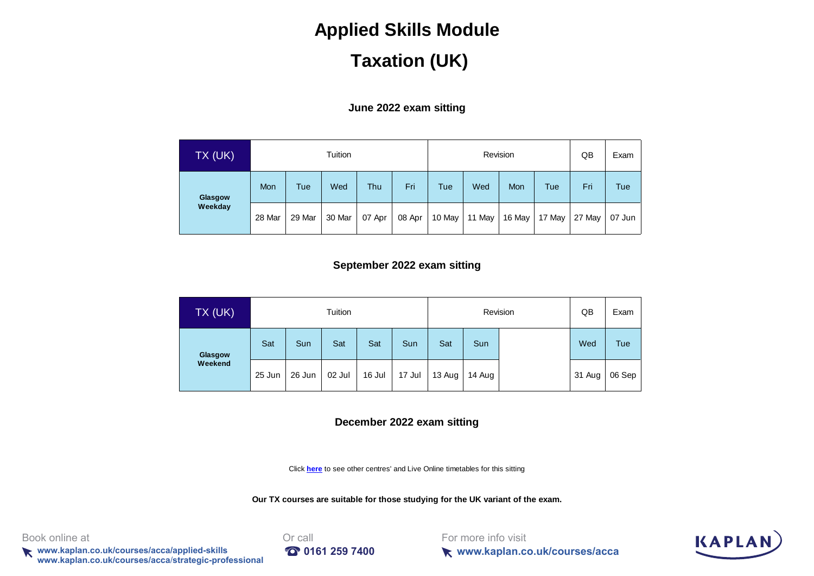## **Taxation (UK)**

#### **June 2022 exam sitting**

| TX (UK) |        |        | Tuition |        |        |            | Revision |        | QB         | Exam   |          |
|---------|--------|--------|---------|--------|--------|------------|----------|--------|------------|--------|----------|
| Glasgow | Mon    | Tue    | Wed     | Thu    | Fri    | <b>Tue</b> | Wed      | Mon    | <b>Tue</b> | Fri    | Tue      |
| Weekday | 28 Mar | 29 Mar | 30 Mar  | 07 Apr | 08 Apr | 10 May     | 11 May   | 16 May | 17 May     | 27 May | $07$ Jun |

#### **September 2022 exam sitting**

| $TX$ (UK) |        |            | Tuition |        |        | Revision |        |  | QB     | Exam   |
|-----------|--------|------------|---------|--------|--------|----------|--------|--|--------|--------|
| Glasgow   | Sat    | <b>Sun</b> | Sat     | Sat    | Sun    | Sat      | Sun    |  | Wed    | Tue    |
| Weekend   | 25 Jun | 26 Jun     | 02 Jul  | 16 Jul | 17 Jul | 13 Aug   | 14 Aug |  | 31 Aug | 06 Sep |

#### **December 2022 exam sitting**

[Click](https://kaplan.co.uk/courses/timetables/acca) **here** to see other centres' and Live Online timetables for this sitting

**Our TX courses are suitable for those studying for the UK variant of the exam.**

Book online at **Driverse and Critical** Book online at

**k** www.kaplan.co.uk/courses/acca/applied-skills **197400 www.kaplan.co.uk/courses/acca**/**strategic-professional**



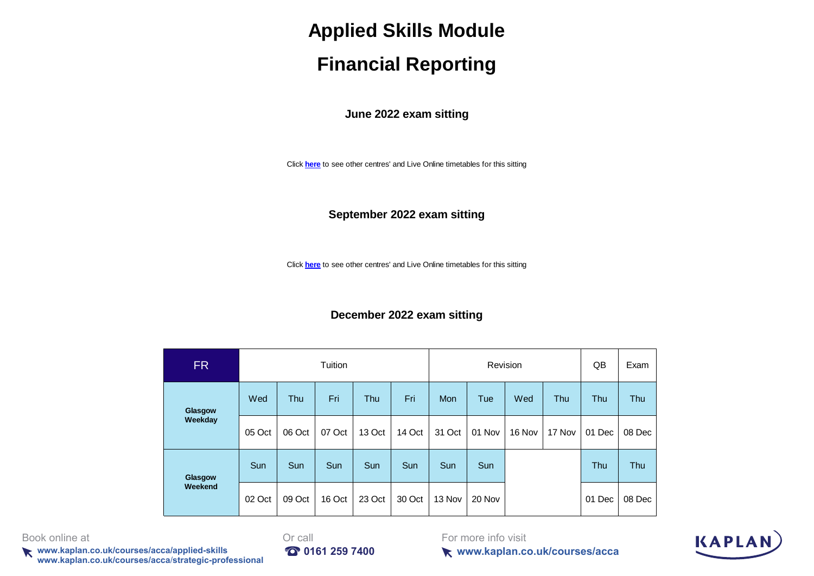## **Financial Reporting**

**June 2022 exam sitting**

[Click](https://kaplan.co.uk/courses/timetables/acca) **here** to see other centres' and Live Online timetables for this sitting

**September 2022 exam sitting**

[Click](https://kaplan.co.uk/courses/timetables/acca) **here** to see other centres' and Live Online timetables for this sitting

#### **December 2022 exam sitting**

| <b>FR</b> |        |        | Tuition |        |        |            | Revision |        |        | QB     | Exam   |
|-----------|--------|--------|---------|--------|--------|------------|----------|--------|--------|--------|--------|
| Glasgow   | Wed    | Thu    | Fri     | Thu    | Fri    | <b>Mon</b> | Tue      | Wed    | Thu    | Thu    | Thu    |
| Weekday   | 05 Oct | 06 Oct | 07 Oct  | 13 Oct | 14 Oct | 31 Oct     | 01 Nov   | 16 Nov | 17 Nov | 01 Dec | 08 Dec |
| Glasgow   | Sun    | Sun    | Sun     | Sun    | Sun    | Sun        | Sun      |        |        | Thu    | Thu    |
| Weekend   | 02 Oct | 09 Oct | 16 Oct  | 23 Oct | 30 Oct | 13 Nov     | 20 Nov   |        |        | 01 Dec | 08 Dec |

Book online at **Druggers Book** online at **Or** call

**k** www.kaplan.co.uk/courses/acca/applied-skills **197400 www.kaplan.co.uk/courses/acca**/**strategic-professional**



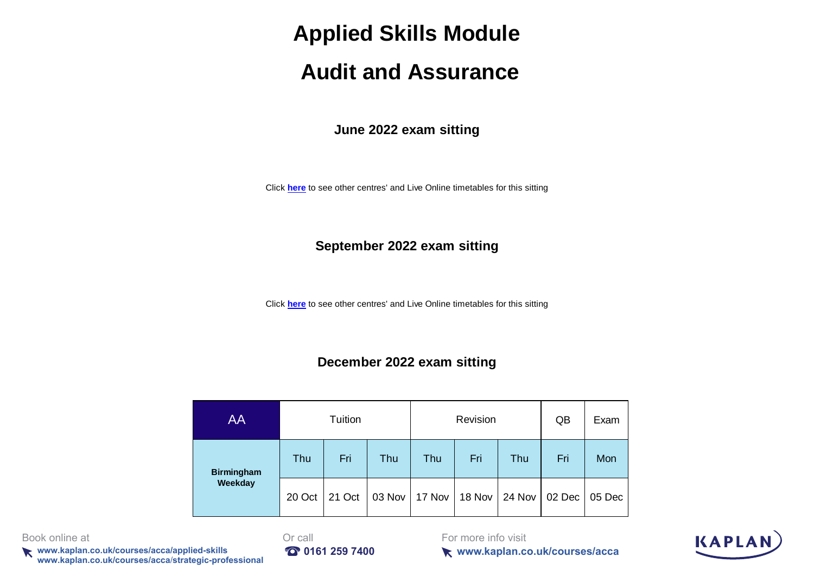# **Audit and Assurance**

**June 2022 exam sitting**

[Click](https://kaplan.co.uk/courses/timetables/acca) **here** to see other centres' and Live Online timetables for this sitting

#### **September 2022 exam sitting**

[Click](https://kaplan.co.uk/courses/timetables/acca) **here** to see other centres' and Live Online timetables for this sitting

#### **December 2022 exam sitting**

| AA                |        | Tuition |        |        | Revision |        | QB     | Exam   |
|-------------------|--------|---------|--------|--------|----------|--------|--------|--------|
| <b>Birmingham</b> | Thu    | Fri     | Thu    | Thu    | Fri      | Thu    | Fri    | Mon    |
| Weekday           | 20 Oct | 21 Oct  | 03 Nov | 17 Nov | 18 Nov   | 24 Nov | 02 Dec | 05 Dec |

Book online at **Druggers Book** online at **Or** call

**www.kaplan.co.uk/courses/acca/applied-skills <b>100 161 259 7400 www.kaplan.co.uk/courses/acca**/**strategic-professional**



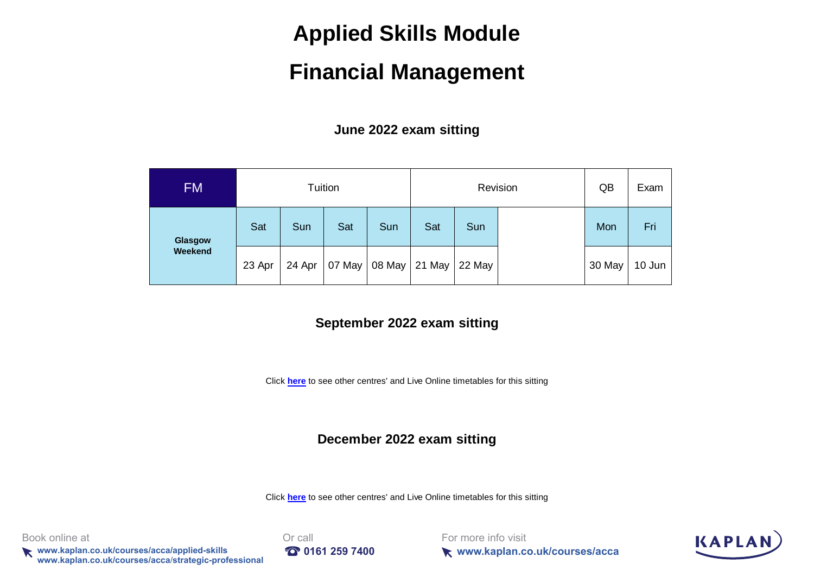# **Financial Management**

**June 2022 exam sitting**

| <b>FM</b> |        |        | Tuition |     |               | Revision | QB | Exam   |        |
|-----------|--------|--------|---------|-----|---------------|----------|----|--------|--------|
| Glasgow   | Sat    | Sun    | Sat     | Sun | Sat           | Sun      |    | Mon    | Fri    |
| Weekend   | 23 Apr | 24 Apr | 07 May  |     | 08 May 21 May | 22 May   |    | 30 May | 10 Jun |

#### **September 2022 exam sitting**

[Click](https://kaplan.co.uk/courses/timetables/acca) **here** to see other centres' and Live Online timetables for this sitting

#### **December 2022 exam sitting**

[Click](https://kaplan.co.uk/courses/timetables/acca) **here** to see other centres' and Live Online timetables for this sitting

Book online at **Druggers Book** online at **Or** call

**k** www.kaplan.co.uk/courses/acca/applied-skills **197400 10161 259 7400 www.kaplan.co.uk/courses/acca**/**strategic-professional**

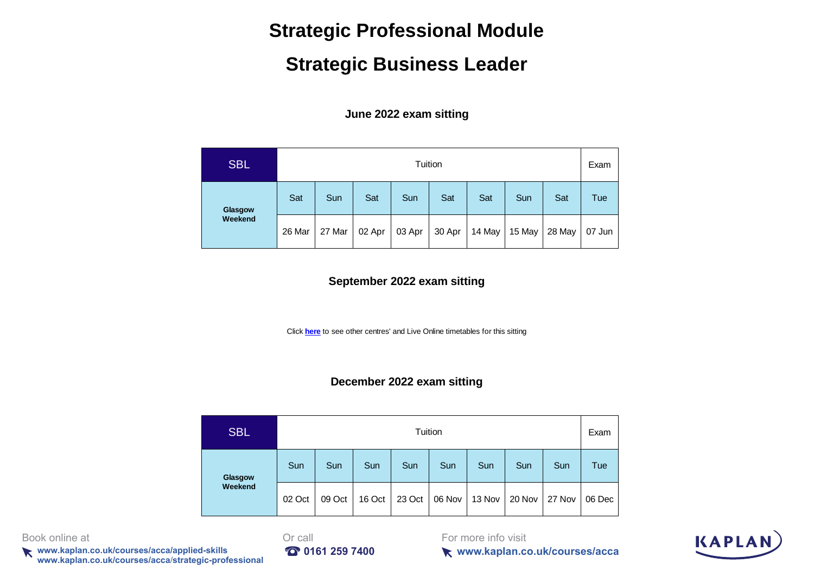## **Strategic Professional Module**

## **Strategic Business Leader**

**June 2022 exam sitting**

| <b>SBL</b> |        |        |        |        | Tuition |        |        |        | Exam   |
|------------|--------|--------|--------|--------|---------|--------|--------|--------|--------|
| Glasgow    | Sat    | Sun    | Sat    | Sun    | Sat     | Sat    | Sun    | Sat    | Tue    |
| Weekend    | 26 Mar | 27 Mar | 02 Apr | 03 Apr | 30 Apr  | 14 May | 15 May | 28 May | 07 Jun |

#### **September 2022 exam sitting**

[Click](https://kaplan.co.uk/courses/timetables/acca) **here** to see other centres' and Live Online timetables for this sitting

#### **December 2022 exam sitting**

| <b>SBL</b> |        |        |        |        | Tuition |        |        |        | Exam   |
|------------|--------|--------|--------|--------|---------|--------|--------|--------|--------|
| Glasgow    | Sun    | Sun    | Sun    | Sun    | Sun     | Sun    | Sun    | Sun    | Tue    |
| Weekend    | 02 Oct | 09 Oct | 16 Oct | 23 Oct | 06 Nov  | 13 Nov | 20 Nov | 27 Nov | 06 Dec |

Book online at **Druggers Book** online at **Or** call

**k** www.kaplan.co.uk/courses/acca/applied-skills **197400 www.kaplan.co.uk/courses/acca**/**strategic-professional**



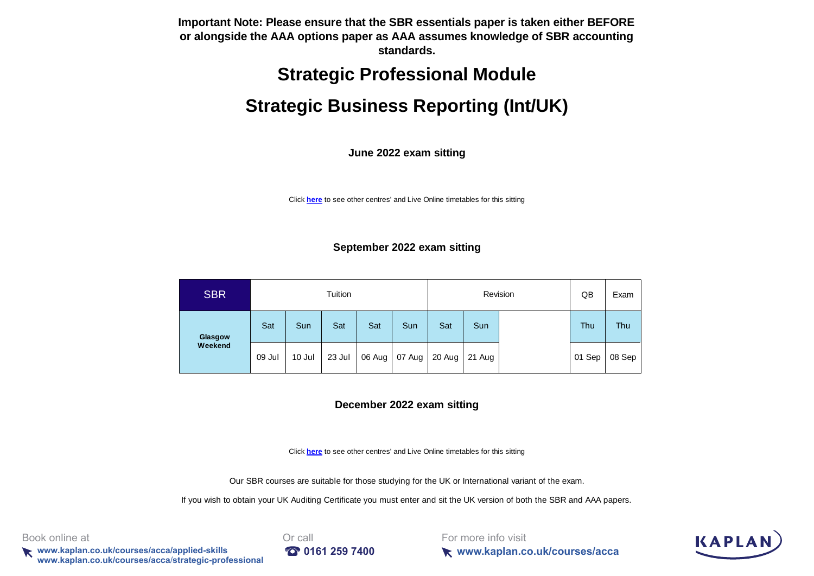**Important Note: Please ensure that the SBR essentials paper is taken either BEFORE or alongside the AAA options paper as AAA assumes knowledge of SBR accounting standards.**

## **Strategic Professional Module**

## **Strategic Business Reporting (Int/UK)**

**June 2022 exam sitting**

[Click](https://kaplan.co.uk/courses/timetables/acca) **here** to see other centres' and Live Online timetables for this sitting

#### **September 2022 exam sitting**

| <b>SBR</b> |        |        | Tuition |        |        | Revision |        |  | QB     | Exam   |
|------------|--------|--------|---------|--------|--------|----------|--------|--|--------|--------|
| Glasgow    | Sat    | Sun    | Sat     | Sat    | Sun    | Sat      | Sun    |  | Thu    | Thu    |
| Weekend    | 09 Jul | 10 Jul | 23 Jul  | 06 Aug | 07 Aug | 20 Aug   | 21 Aug |  | 01 Sep | 08 Sep |

#### **December 2022 exam sitting**

[Click](https://kaplan.co.uk/courses/timetables/acca) **here** to see other centres' and Live Online timetables for this sitting

Our SBR courses are suitable for those studying for the UK or International variant of the exam.

If you wish to obtain your UK Auditing Certificate you must enter and sit the UK version of both the SBR and AAA papers.

Book online at **Or call** 

**www.kaplan.co.uk/courses/acca/applied-skills 161 259 7400 www.kaplan.co.uk/courses/acca**/**strategic-professional**



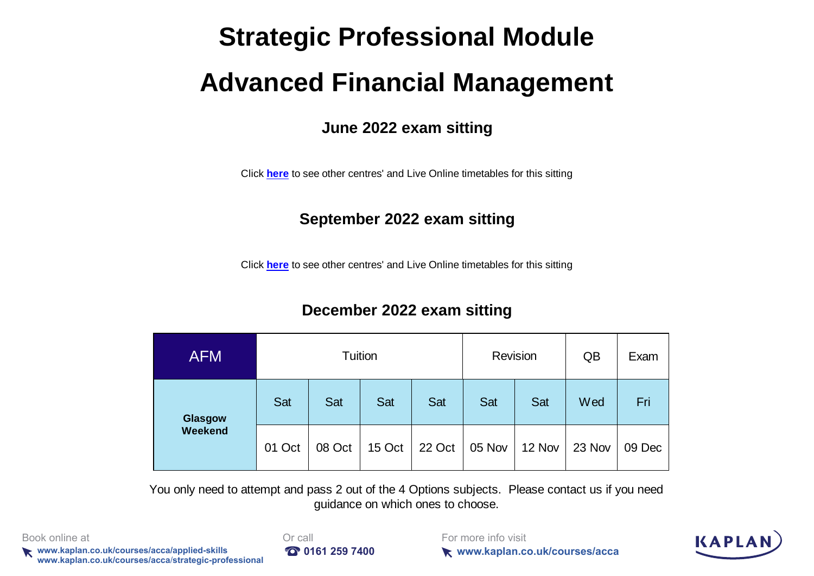# **Strategic Professional Module Advanced Financial Management**

### **June 2022 exam sitting**

[Click](https://kaplan.co.uk/courses/timetables/acca) **here** to see other centres' and Live Online timetables for this sitting

## **September 2022 exam sitting**

[Click](https://kaplan.co.uk/courses/timetables/acca) **here** to see other centres' and Live Online timetables for this sitting

## **December 2022 exam sitting**

| <b>AFM</b> |        | Tuition |        |        | Revision |        | QB     | Exam   |
|------------|--------|---------|--------|--------|----------|--------|--------|--------|
| Glasgow    | Sat    | Sat     | Sat    | Sat    | Sat      | Sat    | Wed    | Fri    |
| Weekend    | 01 Oct | 08 Oct  | 15 Oct | 22 Oct | 05 Nov   | 12 Nov | 23 Nov | 09 Dec |

You only need to attempt and pass 2 out of the 4 Options subjects. Please contact us if you need guidance on which ones to choose.

Book online at **Or call** 

**www.kaplan.co.uk/courses/acca/applied-skills 0161 259 7400 www.kaplan.co.uk/courses/acca**/**strategic-professional**

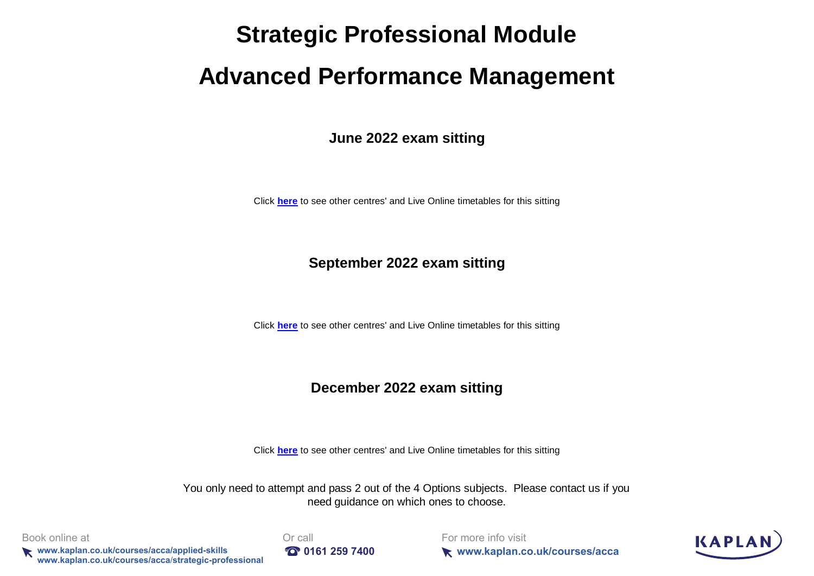# **Strategic Professional Module**

# **Advanced Performance Management**

**June 2022 exam sitting**

[Click](https://kaplan.co.uk/courses/timetables/acca) **here** to see other centres' and Live Online timetables for this sitting

#### **September 2022 exam sitting**

[Click](https://kaplan.co.uk/courses/timetables/acca) **here** to see other centres' and Live Online timetables for this sitting

#### **December 2022 exam sitting**

[Click](https://kaplan.co.uk/courses/timetables/acca) **here** to see other centres' and Live Online timetables for this sitting

You only need to attempt and pass 2 out of the 4 Options subjects. Please contact us if you need guidance on which ones to choose.

Book online at **Or call** 

**www.kaplan.co.uk/courses/acca/applied-skills 0161 259 7400 www.kaplan.co.uk/courses/acca**/**strategic-professional**

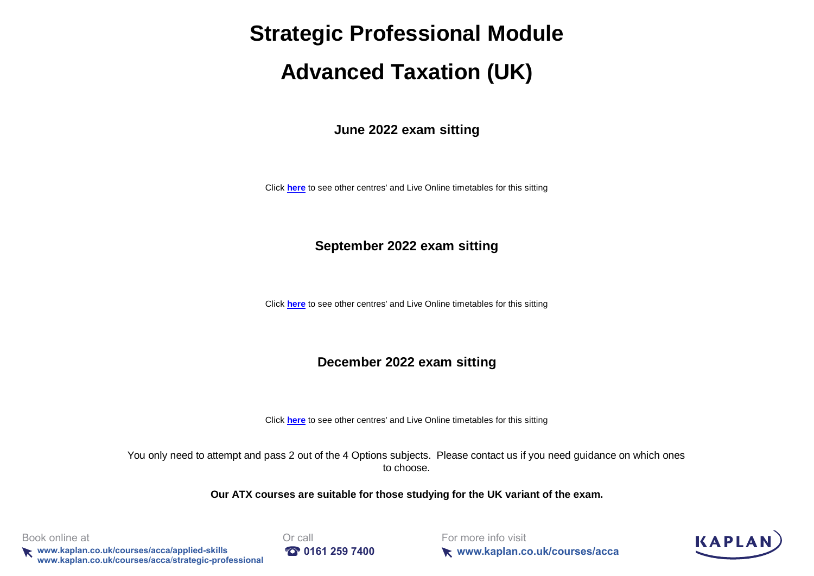# **Strategic Professional Module**

# **Advanced Taxation (UK)**

**June 2022 exam sitting**

[Click](https://kaplan.co.uk/courses/timetables/acca) **here** to see other centres' and Live Online timetables for this sitting

#### **September 2022 exam sitting**

[Click](https://kaplan.co.uk/courses/timetables/acca) **here** to see other centres' and Live Online timetables for this sitting

#### **December 2022 exam sitting**

[Click](https://kaplan.co.uk/courses/timetables/acca) **here** to see other centres' and Live Online timetables for this sitting

You only need to attempt and pass 2 out of the 4 Options subjects. Please contact us if you need guidance on which ones to choose.

**Our ATX courses are suitable for those studying for the UK variant of the exam.**

Book online at **Or call** 

**www.kaplan.co.uk/courses/acca/applied-skills 161 259 7400 www.kaplan.co.uk/courses/acca**/**strategic-professional**